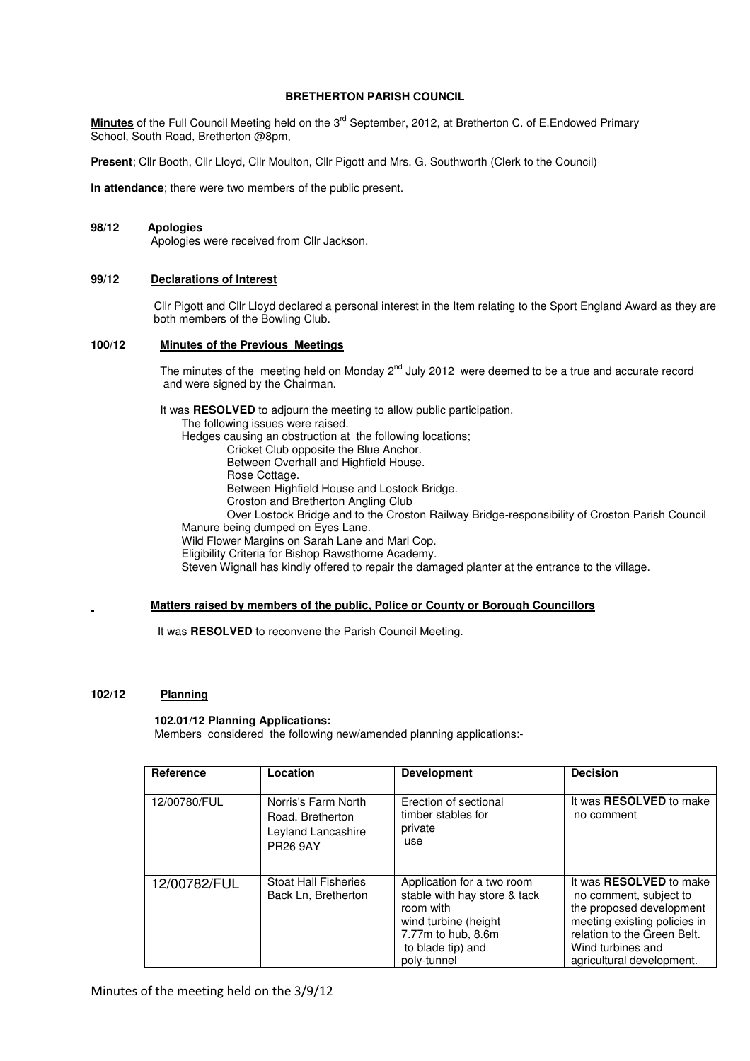# **BRETHERTON PARISH COUNCIL**

**Minutes** of the Full Council Meeting held on the 3<sup>rd</sup> September, 2012, at Bretherton C. of E.Endowed Primary School, South Road, Bretherton @8pm,

**Present**; Cllr Booth, Cllr Lloyd, Cllr Moulton, Cllr Pigott and Mrs. G. Southworth (Clerk to the Council)

**In attendance**; there were two members of the public present.

# **98/12 Apologies**

Apologies were received from Cllr Jackson.

## **99/12 Declarations of Interest**

 Cllr Pigott and Cllr Lloyd declared a personal interest in the Item relating to the Sport England Award as they are both members of the Bowling Club.

# **100/12 Minutes of the Previous Meetings**

The minutes of the meeting held on Monday 2<sup>nd</sup> July 2012 were deemed to be a true and accurate record and were signed by the Chairman.

 It was **RESOLVED** to adjourn the meeting to allow public participation. The following issues were raised. Hedges causing an obstruction at the following locations; Cricket Club opposite the Blue Anchor. Between Overhall and Highfield House. Rose Cottage. Between Highfield House and Lostock Bridge. Croston and Bretherton Angling Club Over Lostock Bridge and to the Croston Railway Bridge-responsibility of Croston Parish Council Manure being dumped on Eyes Lane. Wild Flower Margins on Sarah Lane and Marl Cop. Eligibility Criteria for Bishop Rawsthorne Academy. Steven Wignall has kindly offered to repair the damaged planter at the entrance to the village.

## **Matters raised by members of the public, Police or County or Borough Councillors**

It was **RESOLVED** to reconvene the Parish Council Meeting.

## **102/12 Planning**

## **102.01/12 Planning Applications:**

Members considered the following new/amended planning applications:-

| Reference    | Location                                                                         | <b>Development</b>                                                                                                                                        | <b>Decision</b>                                                                                                                                                                                       |
|--------------|----------------------------------------------------------------------------------|-----------------------------------------------------------------------------------------------------------------------------------------------------------|-------------------------------------------------------------------------------------------------------------------------------------------------------------------------------------------------------|
|              |                                                                                  |                                                                                                                                                           |                                                                                                                                                                                                       |
| 12/00780/FUL | Norris's Farm North<br>Road, Bretherton<br>Leyland Lancashire<br><b>PR26 9AY</b> | Erection of sectional<br>timber stables for<br>private<br>use                                                                                             | It was <b>RESOLVED</b> to make<br>no comment                                                                                                                                                          |
| 12/00782/FUL | <b>Stoat Hall Fisheries</b><br>Back Ln, Bretherton                               | Application for a two room<br>stable with hay store & tack<br>room with<br>wind turbine (height<br>7.77m to hub, 8.6m<br>to blade tip) and<br>polv-tunnel | It was <b>RESOLVED</b> to make<br>no comment, subject to<br>the proposed development<br>meeting existing policies in<br>relation to the Green Belt.<br>Wind turbines and<br>agricultural development. |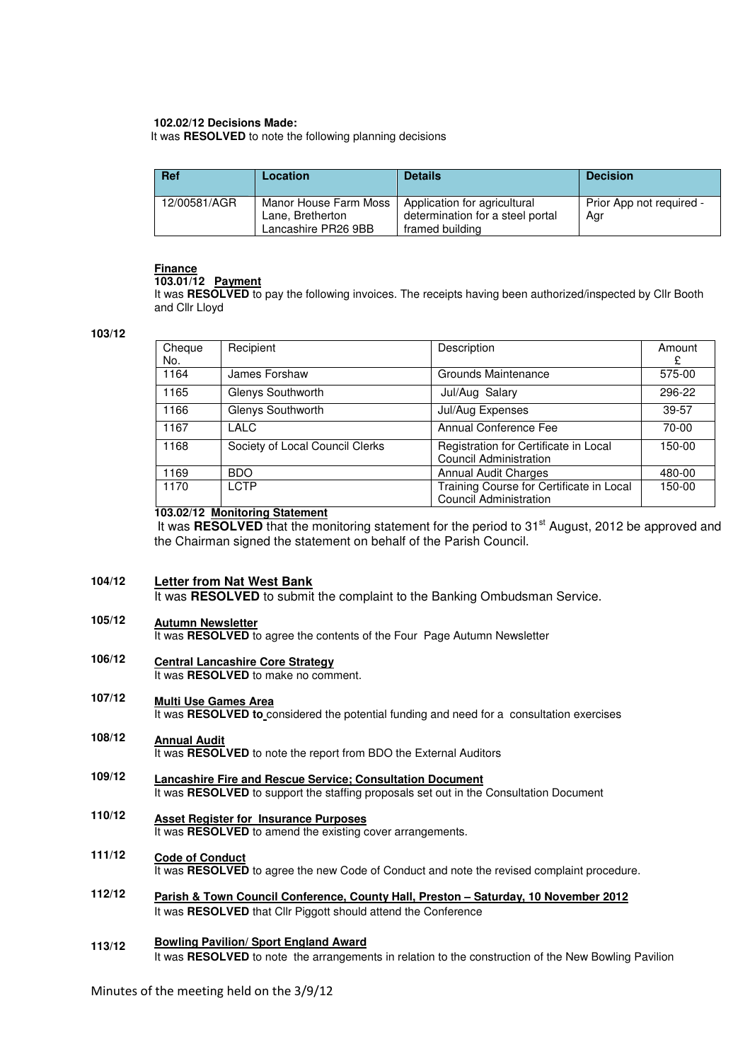## **102.02/12 Decisions Made:**

It was **RESOLVED** to note the following planning decisions

| <b>Ref</b>   | Location                                                         | <b>Details</b>                                                                      | <b>Decision</b>                 |
|--------------|------------------------------------------------------------------|-------------------------------------------------------------------------------------|---------------------------------|
| 12/00581/AGR | Manor House Farm Moss<br>Lane, Bretherton<br>Lancashire PR26 9BB | Application for agricultural<br>determination for a steel portal<br>framed building | Prior App not required -<br>Agr |

# **Finance**

## **103.01/12 Payment**

It was **RESOLVED** to pay the following invoices. The receipts having been authorized/inspected by Cllr Booth and Cllr Lloyd

## **103/12**

| Cheque<br>No. | Recipient                       | Description                                                               | Amount<br>£ |
|---------------|---------------------------------|---------------------------------------------------------------------------|-------------|
| 1164          | James Forshaw                   | Grounds Maintenance                                                       | 575-00      |
| 1165          | Glenys Southworth               | Jul/Aug Salary                                                            | 296-22      |
| 1166          | Glenys Southworth               | Jul/Aug Expenses                                                          | $39 - 57$   |
| 1167          | LALC                            | <b>Annual Conference Fee</b>                                              | 70-00       |
| 1168          | Society of Local Council Clerks | Registration for Certificate in Local<br>Council Administration           | 150-00      |
| 1169          | <b>BDO</b>                      | <b>Annual Audit Charges</b>                                               | 480-00      |
| 1170          | <b>LCTP</b>                     | Training Course for Certificate in Local<br><b>Council Administration</b> | 150-00      |

# **103.02/12 Monitoring Statement**

It was RESOLVED that the monitoring statement for the period to 31<sup>st</sup> August, 2012 be approved and the Chairman signed the statement on behalf of the Parish Council.

#### **104/12 Letter from Nat West Bank**

It was **RESOLVED** to submit the complaint to the Banking Ombudsman Service.

#### **105/12 Autumn Newsletter**

It was **RESOLVED** to agree the contents of the Four Page Autumn Newsletter

#### **106/12 Central Lancashire Core Strategy**

It was **RESOLVED** to make no comment.

#### **107/12 Multi Use Games Area**

It was **RESOLVED to** considered the potential funding and need for a consultation exercises

- **108/12 Annual Audit** It was **RESOLVED** to note the report from BDO the External Auditors
- **109/12 Lancashire Fire and Rescue Service; Consultation Document** It was **RESOLVED** to support the staffing proposals set out in the Consultation Document
- **110/12 Asset Register for Insurance Purposes** It was **RESOLVED** to amend the existing cover arrangements.
- **111/12 Code of Conduct** It was **RESOLVED** to agree the new Code of Conduct and note the revised complaint procedure.
- **112/12 Parish & Town Council Conference, County Hall, Preston – Saturday, 10 November 2012** It was **RESOLVED** that Cllr Piggott should attend the Conference

#### **113/12 Bowling Pavilion/ Sport England Award**

It was RESOLVED to note the arrangements in relation to the construction of the New Bowling Pavilion